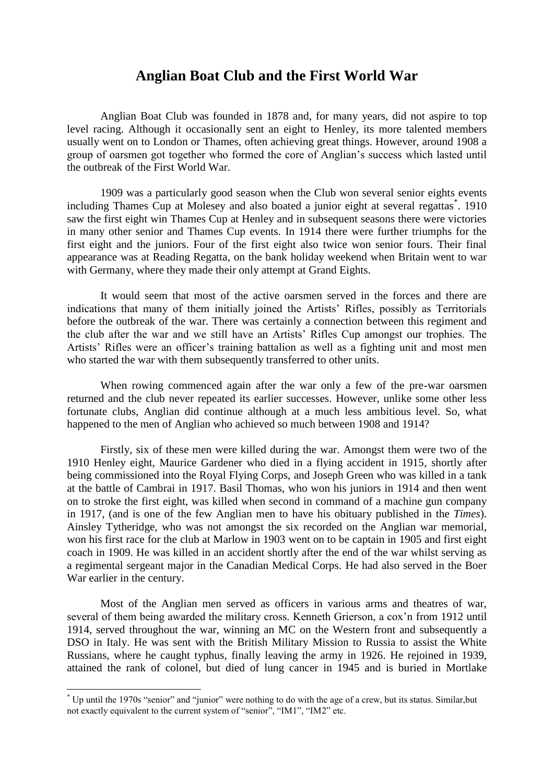# **Anglian Boat Club and the First World War**

Anglian Boat Club was founded in 1878 and, for many years, did not aspire to top level racing. Although it occasionally sent an eight to Henley, its more talented members usually went on to London or Thames, often achieving great things. However, around 1908 a group of oarsmen got together who formed the core of Anglian's success which lasted until the outbreak of the First World War.

1909 was a particularly good season when the Club won several senior eights events including Thames Cup at Molesey and also boated a junior eight at several regattas<sup>\*</sup>. 1910 saw the first eight win Thames Cup at Henley and in subsequent seasons there were victories in many other senior and Thames Cup events. In 1914 there were further triumphs for the first eight and the juniors. Four of the first eight also twice won senior fours. Their final appearance was at Reading Regatta, on the bank holiday weekend when Britain went to war with Germany, where they made their only attempt at Grand Eights.

It would seem that most of the active oarsmen served in the forces and there are indications that many of them initially joined the Artists' Rifles, possibly as Territorials before the outbreak of the war. There was certainly a connection between this regiment and the club after the war and we still have an Artists' Rifles Cup amongst our trophies. The Artists' Rifles were an officer's training battalion as well as a fighting unit and most men who started the war with them subsequently transferred to other units.

When rowing commenced again after the war only a few of the pre-war oarsmen returned and the club never repeated its earlier successes. However, unlike some other less fortunate clubs, Anglian did continue although at a much less ambitious level. So, what happened to the men of Anglian who achieved so much between 1908 and 1914?

Firstly, six of these men were killed during the war. Amongst them were two of the 1910 Henley eight, Maurice Gardener who died in a flying accident in 1915, shortly after being commissioned into the Royal Flying Corps, and Joseph Green who was killed in a tank at the battle of Cambrai in 1917. Basil Thomas, who won his juniors in 1914 and then went on to stroke the first eight, was killed when second in command of a machine gun company in 1917, (and is one of the few Anglian men to have his obituary published in the *Times*). Ainsley Tytheridge, who was not amongst the six recorded on the Anglian war memorial, won his first race for the club at Marlow in 1903 went on to be captain in 1905 and first eight coach in 1909. He was killed in an accident shortly after the end of the war whilst serving as a regimental sergeant major in the Canadian Medical Corps. He had also served in the Boer War earlier in the century.

Most of the Anglian men served as officers in various arms and theatres of war, several of them being awarded the military cross. Kenneth Grierson, a cox'n from 1912 until 1914, served throughout the war, winning an MC on the Western front and subsequently a DSO in Italy. He was sent with the British Military Mission to Russia to assist the White Russians, where he caught typhus, finally leaving the army in 1926. He rejoined in 1939, attained the rank of colonel, but died of lung cancer in 1945 and is buried in Mortlake

<u>.</u>

<sup>\*</sup> Up until the 1970s "senior" and "junior" were nothing to do with the age of a crew, but its status. Similar,but not exactly equivalent to the current system of "senior", "IM1", "IM2" etc.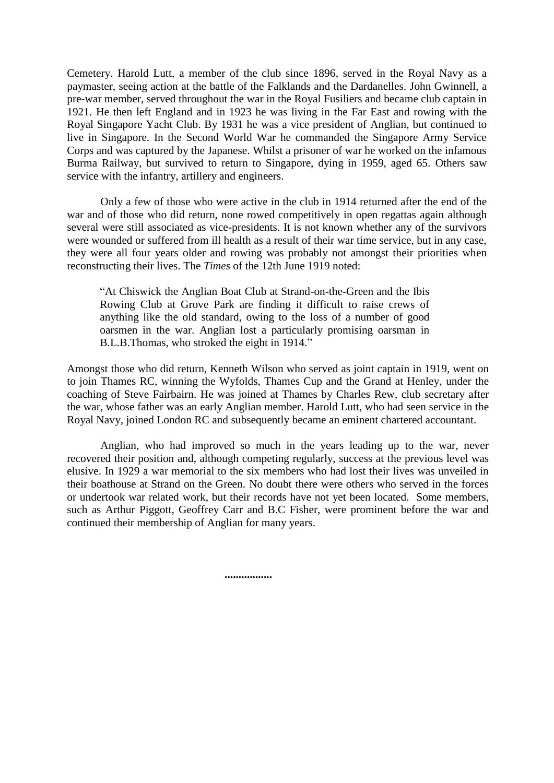Cemetery. Harold Lutt, a member of the club since 1896, served in the Royal Navy as a paymaster, seeing action at the battle of the Falklands and the Dardanelles. John Gwinnell, a pre-war member, served throughout the war in the Royal Fusiliers and became club captain in 1921. He then left England and in 1923 he was living in the Far East and rowing with the Royal Singapore Yacht Club. By 1931 he was a vice president of Anglian, but continued to live in Singapore. In the Second World War he commanded the Singapore Army Service Corps and was captured by the Japanese. Whilst a prisoner of war he worked on the infamous Burma Railway, but survived to return to Singapore, dying in 1959, aged 65. Others saw service with the infantry, artillery and engineers.

Only a few of those who were active in the club in 1914 returned after the end of the war and of those who did return, none rowed competitively in open regattas again although several were still associated as vice-presidents. It is not known whether any of the survivors were wounded or suffered from ill health as a result of their war time service, but in any case, they were all four years older and rowing was probably not amongst their priorities when reconstructing their lives. The *Times* of the 12th June 1919 noted:

"At Chiswick the Anglian Boat Club at Strand-on-the-Green and the Ibis Rowing Club at Grove Park are finding it difficult to raise crews of anything like the old standard, owing to the loss of a number of good oarsmen in the war. Anglian lost a particularly promising oarsman in B.L.B.Thomas, who stroked the eight in 1914."

Amongst those who did return, Kenneth Wilson who served as joint captain in 1919, went on to join Thames RC, winning the Wyfolds, Thames Cup and the Grand at Henley, under the coaching of Steve Fairbairn. He was joined at Thames by Charles Rew, club secretary after the war, whose father was an early Anglian member. Harold Lutt, who had seen service in the Royal Navy, joined London RC and subsequently became an eminent chartered accountant.

Anglian, who had improved so much in the years leading up to the war, never recovered their position and, although competing regularly, success at the previous level was elusive. In 1929 a war memorial to the six members who had lost their lives was unveiled in their boathouse at Strand on the Green. No doubt there were others who served in the forces or undertook war related work, but their records have not yet been located. Some members, such as Arthur Piggott, Geoffrey Carr and B.C Fisher, were prominent before the war and continued their membership of Anglian for many years.

**.................**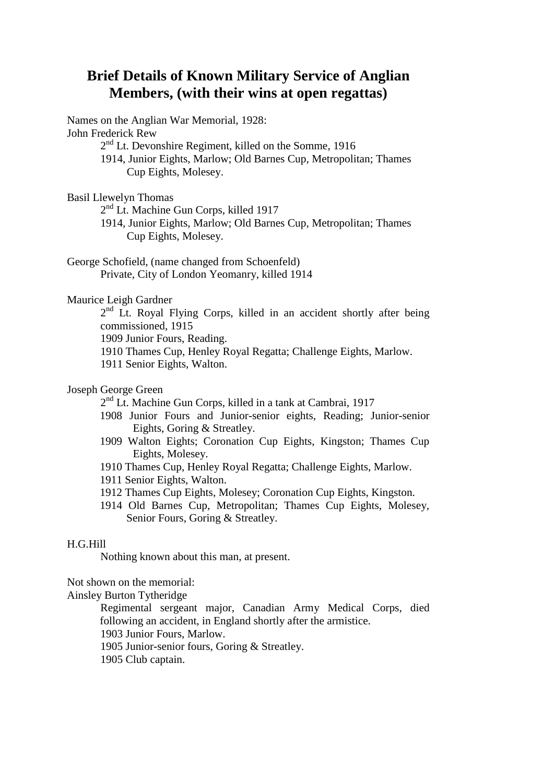# **Brief Details of Known Military Service of Anglian Members, (with their wins at open regattas)**

Names on the Anglian War Memorial, 1928: John Frederick Rew 2<sup>nd</sup> Lt. Devonshire Regiment, killed on the Somme, 1916 1914, Junior Eights, Marlow; Old Barnes Cup, Metropolitan; Thames Cup Eights, Molesey.

Basil Llewelyn Thomas

2<sup>nd</sup> Lt. Machine Gun Corps, killed 1917

1914, Junior Eights, Marlow; Old Barnes Cup, Metropolitan; Thames Cup Eights, Molesey.

George Schofield, (name changed from Schoenfeld) Private, City of London Yeomanry, killed 1914

## Maurice Leigh Gardner

2<sup>nd</sup> Lt. Royal Flying Corps, killed in an accident shortly after being commissioned, 1915

1909 Junior Fours, Reading.

1910 Thames Cup, Henley Royal Regatta; Challenge Eights, Marlow.

1911 Senior Eights, Walton.

## Joseph George Green

2<sup>nd</sup> Lt. Machine Gun Corps, killed in a tank at Cambrai, 1917

- 1908 Junior Fours and Junior-senior eights, Reading; Junior-senior Eights, Goring & Streatley.
- 1909 Walton Eights; Coronation Cup Eights, Kingston; Thames Cup Eights, Molesey.
- 1910 Thames Cup, Henley Royal Regatta; Challenge Eights, Marlow.
- 1911 Senior Eights, Walton.
- 1912 Thames Cup Eights, Molesey; Coronation Cup Eights, Kingston.
- 1914 Old Barnes Cup, Metropolitan; Thames Cup Eights, Molesey, Senior Fours, Goring & Streatley.

## H.G.Hill

Nothing known about this man, at present.

Not shown on the memorial:

Ainsley Burton Tytheridge

Regimental sergeant major, Canadian Army Medical Corps, died following an accident, in England shortly after the armistice.

1903 Junior Fours, Marlow.

1905 Junior-senior fours, Goring & Streatley.

1905 Club captain.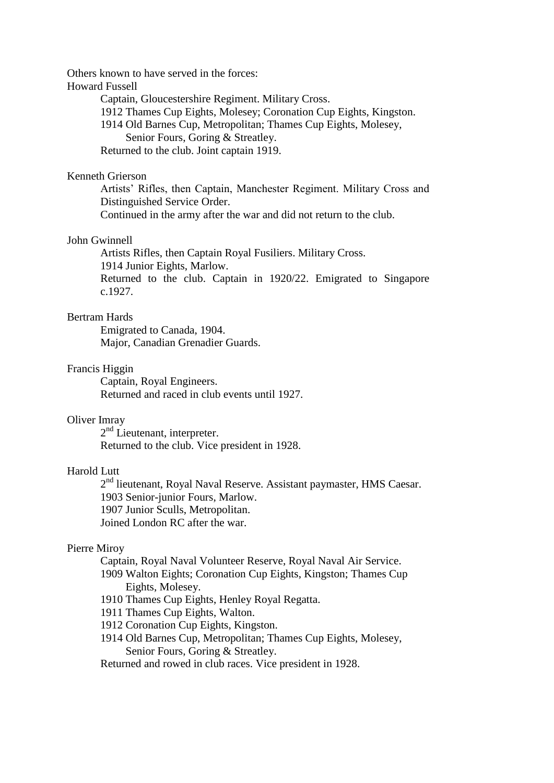Others known to have served in the forces:

Howard Fussell

Captain, Gloucestershire Regiment. Military Cross.

1912 Thames Cup Eights, Molesey; Coronation Cup Eights, Kingston.

1914 Old Barnes Cup, Metropolitan; Thames Cup Eights, Molesey,

Senior Fours, Goring & Streatley.

Returned to the club. Joint captain 1919.

#### Kenneth Grierson

Artists' Rifles, then Captain, Manchester Regiment. Military Cross and Distinguished Service Order.

Continued in the army after the war and did not return to the club.

## John Gwinnell

Artists Rifles, then Captain Royal Fusiliers. Military Cross. 1914 Junior Eights, Marlow. Returned to the club. Captain in 1920/22. Emigrated to Singapore c.1927.

## Bertram Hards

Emigrated to Canada, 1904. Major, Canadian Grenadier Guards.

#### Francis Higgin

Captain, Royal Engineers. Returned and raced in club events until 1927.

#### Oliver Imray

2<sup>nd</sup> Lieutenant, interpreter. Returned to the club. Vice president in 1928.

## Harold Lutt

2<sup>nd</sup> lieutenant, Royal Naval Reserve. Assistant paymaster, HMS Caesar. 1903 Senior-junior Fours, Marlow. 1907 Junior Sculls, Metropolitan. Joined London RC after the war.

## Pierre Miroy

Captain, Royal Naval Volunteer Reserve, Royal Naval Air Service.

- 1909 Walton Eights; Coronation Cup Eights, Kingston; Thames Cup Eights, Molesey.
- 1910 Thames Cup Eights, Henley Royal Regatta.
- 1911 Thames Cup Eights, Walton.
- 1912 Coronation Cup Eights, Kingston.
- 1914 Old Barnes Cup, Metropolitan; Thames Cup Eights, Molesey, Senior Fours, Goring & Streatley.

Returned and rowed in club races. Vice president in 1928.